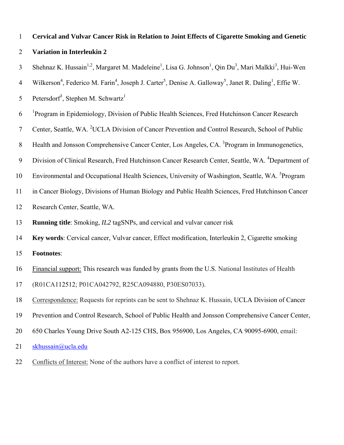# **Cervical and Vulvar Cancer Risk in Relation to Joint Effects of Cigarette Smoking and Genetic Variation in Interleukin 2**  1 2

- 3 Shehnaz K. Hussain<sup>1,2</sup>, Margaret M. Madeleine<sup>1</sup>, Lisa G. Johnson<sup>1</sup>, Qin Du<sup>3</sup>, Mari Malkki<sup>3</sup>, Hui-Wen
- 4 Wilkerson<sup>4</sup>, Federico M. Farin<sup>4</sup>, Joseph J. Carter<sup>5</sup>, Denise A. Galloway<sup>5</sup>, Janet R. Daling<sup>1</sup>, Effie W.
- 5 Petersdorf<sup>3</sup>, Stephen M. Schwartz<sup>1</sup>
- 6 <sup>1</sup>Program in Epidemiology, Division of Public Health Sciences, Fred Hutchinson Cancer Research
- 7 Center, Seattle, WA. <sup>2</sup>UCLA Division of Cancer Prevention and Control Research, School of Public
- 8 Health and Jonsson Comprehensive Cancer Center, Los Angeles, CA. <sup>3</sup>Program in Immunogenetics,
- 9 Division of Clinical Research, Fred Hutchinson Cancer Research Center, Seattle, WA. <sup>4</sup>Department of
- 10 Environmental and Occupational Health Sciences, University of Washington, Seattle, WA. <sup>5</sup>Program
- 11 in Cancer Biology, Divisions of Human Biology and Public Health Sciences, Fred Hutchinson Cancer
- 12 Research Center, Seattle, WA.
- 13 **Running title**: Smoking, *IL2* tagSNPs, and cervical and vulvar cancer risk
- 14 **Key words**: Cervical cancer, Vulvar cancer, Effect modification, Interleukin 2, Cigarette smoking
- 15 **Footnotes**:
- Financial support: This research was funded by grants from the U.S. National Institutes of Health 16
- (R01CA112512; P01CA042792, R25CA094880, P30ES07033). 17
- Correspondence: Requests for reprints can be sent to Shehnaz K. Hussain, UCLA Division of Cancer 18
- Prevention and Control Research, School of Public Health and Jonsson Comprehensive Cancer Center, 19
- 650 Charles Young Drive South A2-125 CHS, Box 956900, Los Angeles, CA 90095-6900, email: 20
- 21 [skhussain@ucla.edu](mailto:skhussain@ucla.edu)
- 22 Conflicts of Interest: None of the authors have a conflict of interest to report.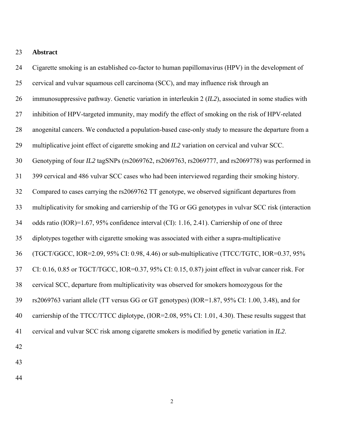#### 23 **Abstract**

24 25 26 27 28 29 30 31 32 33 34 35 36 37 38 39 40 41 42 Cigarette smoking is an established co-factor to human papillomavirus (HPV) in the development of cervical and vulvar squamous cell carcinoma (SCC), and may influence risk through an immunosuppressive pathway. Genetic variation in interleukin 2 (*IL2*), associated in some studies with inhibition of HPV-targeted immunity, may modify the effect of smoking on the risk of HPV-related anogenital cancers. We conducted a population-based case-only study to measure the departure from a multiplicative joint effect of cigarette smoking and *IL2* variation on cervical and vulvar SCC. Genotyping of four *IL2* tagSNPs (rs2069762, rs2069763, rs2069777, and rs2069778) was performed in 399 cervical and 486 vulvar SCC cases who had been interviewed regarding their smoking history. Compared to cases carrying the rs2069762 TT genotype, we observed significant departures from multiplicativity for smoking and carriership of the TG or GG genotypes in vulvar SCC risk (interaction odds ratio (IOR)=1.67, 95% confidence interval (CI): 1.16, 2.41). Carriership of one of three diplotypes together with cigarette smoking was associated with either a supra-multiplicative (TGCT/GGCC, IOR=2.09, 95% CI: 0.98, 4.46) or sub-multiplicative (TTCC/TGTC, IOR=0.37, 95% CI: 0.16, 0.85 or TGCT/TGCC, IOR=0.37, 95% CI: 0.15, 0.87) joint effect in vulvar cancer risk. For cervical SCC, departure from multiplicativity was observed for smokers homozygous for the rs2069763 variant allele (TT versus GG or GT genotypes) (IOR=1.87, 95% CI: 1.00, 3.48), and for carriership of the TTCC/TTCC diplotype, (IOR=2.08, 95% CI: 1.01, 4.30). These results suggest that cervical and vulvar SCC risk among cigarette smokers is modified by genetic variation in *IL2*.

44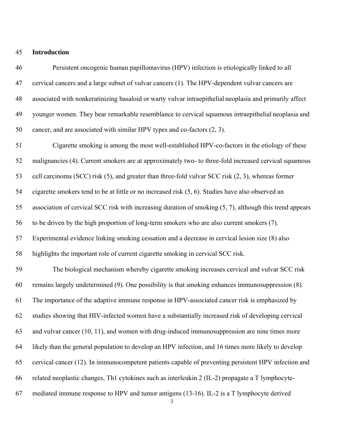# 45 **Introduction**

| 46 | Persistent oncogenic human papillomavirus (HPV) infection is etiologically linked to all                    |
|----|-------------------------------------------------------------------------------------------------------------|
| 47 | cervical cancers and a large subset of vulvar cancers (1). The HPV-dependent vulvar cancers are             |
| 48 | associated with nonkeratinizing basaloid or warty vulvar intraepithelial neoplasia and primarily affect     |
| 49 | younger women. They bear remarkable resemblance to cervical squamous intraepithelial neoplasia and          |
| 50 | cancer, and are associated with similar HPV types and co-factors (2, 3).                                    |
| 51 | Cigarette smoking is among the most well-established HPV-co-factors in the etiology of these                |
| 52 | malignancies (4). Current smokers are at approximately two- to three-fold increased cervical squamous       |
| 53 | cell carcinoma (SCC) risk (5), and greater than three-fold vulvar SCC risk (2, 3), whereas former           |
| 54 | cigarette smokers tend to be at little or no increased risk (5, 6). Studies have also observed an           |
| 55 | association of cervical SCC risk with increasing duration of smoking $(5, 7)$ , although this trend appears |
| 56 | to be driven by the high proportion of long-term smokers who are also current smokers (7).                  |
| 57 | Experimental evidence linking smoking cessation and a decrease in cervical lesion size (8) also             |
| 58 | highlights the important role of current cigarette smoking in cervical SCC risk.                            |
| 59 | The biological mechanism whereby cigarette smoking increases cervical and vulvar SCC risk                   |
| 60 | remains largely undetermined (9). One possibility is that smoking enhances immunosuppression (8).           |
| 61 | The importance of the adaptive immune response in HPV-associated cancer risk is emphasized by               |
| 62 | studies showing that HIV-infected women have a substantially increased risk of developing cervical          |
| 63 | and vulvar cancer (10, 11), and women with drug-induced immunosuppression are nine times more               |
| 64 | likely than the general population to develop an HPV infection, and 16 times more likely to develop         |
| 65 | cervical cancer (12). In immunocompetent patients capable of preventing persistent HPV infection and        |
| 66 | related neoplastic changes, Th1 cytokines such as interleukin 2 (IL-2) propagate a T lymphocyte-            |
| 67 | mediated immune response to HPV and tumor antigens (13-16). IL-2 is a T lymphocyte derived<br>3             |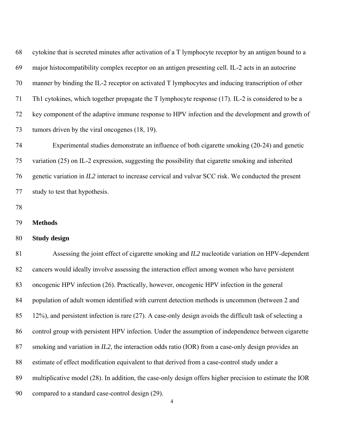| 68 | cytokine that is secreted minutes after activation of a T lymphocyte receptor by an antigen bound to a   |
|----|----------------------------------------------------------------------------------------------------------|
| 69 | major histocompatibility complex receptor on an antigen presenting cell. IL-2 acts in an autocrine       |
| 70 | manner by binding the IL-2 receptor on activated T lymphocytes and inducing transcription of other       |
| 71 | Th1 cytokines, which together propagate the T lymphocyte response (17). IL-2 is considered to be a       |
| 72 | key component of the adaptive immune response to HPV infection and the development and growth of         |
| 73 | tumors driven by the viral oncogenes (18, 19).                                                           |
| 74 | Experimental studies demonstrate an influence of both cigarette smoking (20-24) and genetic              |
| 75 | variation (25) on IL-2 expression, suggesting the possibility that cigarette smoking and inherited       |
| 76 | genetic variation in IL2 interact to increase cervical and vulvar SCC risk. We conducted the present     |
| 77 | study to test that hypothesis.                                                                           |
| 78 |                                                                                                          |
| 79 | <b>Methods</b>                                                                                           |
| 80 | <b>Study design</b>                                                                                      |
| 81 | Assessing the joint effect of cigarette smoking and IL2 nucleotide variation on HPV-dependent            |
| 82 | cancers would ideally involve assessing the interaction effect among women who have persistent           |
| 83 | oncogenic HPV infection (26). Practically, however, oncogenic HPV infection in the general               |
| 84 | population of adult women identified with current detection methods is uncommon (between 2 and           |
| 85 | 12%), and persistent infection is rare (27). A case-only design avoids the difficult task of selecting a |
| 86 | control group with persistent HPV infection. Under the assumption of independence between cigarette      |
| 87 | smoking and variation in IL2, the interaction odds ratio (IOR) from a case-only design provides an       |
| 88 | estimate of effect modification equivalent to that derived from a case-control study under a             |
| 89 | multiplicative model (28). In addition, the case-only design offers higher precision to estimate the IOR |
| 90 | compared to a standard case-control design (29).                                                         |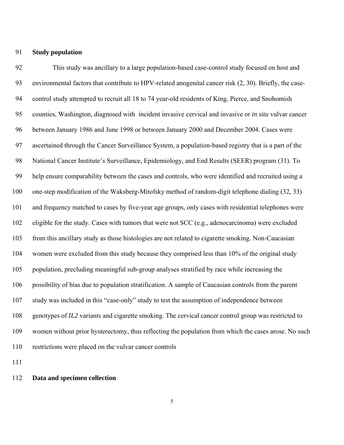#### 91 **Study population**

92 93 94 95 96 97 98 99 100 101 102 103 104 105 106 107 108 109 110 This study was ancillary to a large population-based case-control study focused on host and environmental factors that contribute to HPV-related anogenital cancer risk (2, 30). Briefly, the casecontrol study attempted to recruit all 18 to 74 year-old residents of King, Pierce, and Snohomish counties, Washington, diagnosed with incident invasive cervical and invasive or *in situ* vulvar cancer between January 1986 and June 1998 or between January 2000 and December 2004. Cases were ascertained through the Cancer Surveillance System, a population-based registry that is a part of the National Cancer Institute's Surveillance, Epidemiology, and End Results (SEER) program (31). To help ensure comparability between the cases and controls, who were identified and recruited using a one-step modification of the Waksberg-Mitofsky method of random-digit telephone dialing (32, 33) and frequency matched to cases by five-year age groups, only cases with residential telephones were eligible for the study. Cases with tumors that were not SCC (e.g., adenocarcinoma) were excluded from this ancillary study as those histologies are not related to cigarette smoking. Non-Caucasian women were excluded from this study because they comprised less than 10% of the original study population, precluding meaningful sub-group analyses stratified by race while increasing the possibility of bias due to population stratification. A sample of Caucasian controls from the parent study was included in this "case-only" study to test the assumption of independence between genotypes of *IL2* variants and cigarette smoking. The cervical cancer control group was restricted to women without prior hysterectomy, thus reflecting the population from which the cases arose. No such restrictions were placed on the vulvar cancer controls

111

## 112 **Data and specimen collection**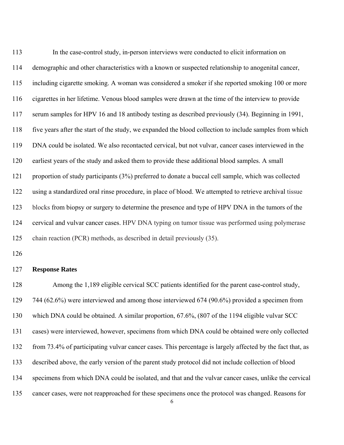| 113 | In the case-control study, in-person interviews were conducted to elicit information on                 |
|-----|---------------------------------------------------------------------------------------------------------|
| 114 | demographic and other characteristics with a known or suspected relationship to anogenital cancer,      |
| 115 | including cigarette smoking. A woman was considered a smoker if she reported smoking 100 or more        |
| 116 | cigarettes in her lifetime. Venous blood samples were drawn at the time of the interview to provide     |
| 117 | serum samples for HPV 16 and 18 antibody testing as described previously (34). Beginning in 1991,       |
| 118 | five years after the start of the study, we expanded the blood collection to include samples from which |
| 119 | DNA could be isolated. We also recontacted cervical, but not vulvar, cancer cases interviewed in the    |
| 120 | earliest years of the study and asked them to provide these additional blood samples. A small           |
| 121 | proportion of study participants (3%) preferred to donate a buccal cell sample, which was collected     |
| 122 | using a standardized oral rinse procedure, in place of blood. We attempted to retrieve archival tissue  |
| 123 | blocks from biopsy or surgery to determine the presence and type of HPV DNA in the tumors of the        |
| 124 | cervical and vulvar cancer cases. HPV DNA typing on tumor tissue was performed using polymerase         |
| 125 | chain reaction (PCR) methods, as described in detail previously (35).                                   |

126

## 127 **Response Rates**

128 129 130 131 132 133 134 135 Among the 1,189 eligible cervical SCC patients identified for the parent case-control study, 744 (62.6%) were interviewed and among those interviewed 674 (90.6%) provided a specimen from which DNA could be obtained. A similar proportion, 67.6%, (807 of the 1194 eligible vulvar SCC cases) were interviewed, however, specimens from which DNA could be obtained were only collected from 73.4% of participating vulvar cancer cases. This percentage is largely affected by the fact that, as described above, the early version of the parent study protocol did not include collection of blood specimens from which DNA could be isolated, and that and the vulvar cancer cases, unlike the cervical cancer cases, were not reapproached for these specimens once the protocol was changed. Reasons for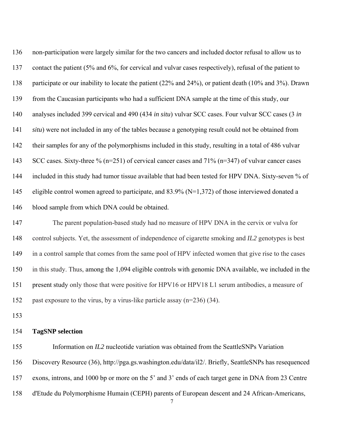136 137 138 139 140 141 142 143 144 145 146 non-participation were largely similar for the two cancers and included doctor refusal to allow us to contact the patient (5% and 6%, for cervical and vulvar cases respectively), refusal of the patient to participate or our inability to locate the patient (22% and 24%), or patient death (10% and 3%). Drawn from the Caucasian participants who had a sufficient DNA sample at the time of this study, our analyses included 399 cervical and 490 (434 *in situ*) vulvar SCC cases. Four vulvar SCC cases (3 *in situ*) were not included in any of the tables because a genotyping result could not be obtained from their samples for any of the polymorphisms included in this study, resulting in a total of 486 vulvar SCC cases. Sixty-three % (n=251) of cervical cancer cases and 71% (n=347) of vulvar cancer cases included in this study had tumor tissue available that had been tested for HPV DNA. Sixty-seven % of eligible control women agreed to participate, and  $83.9\%$  (N=1,372) of those interviewed donated a blood sample from which DNA could be obtained.

147 148 149 150 151 152 The parent population-based study had no measure of HPV DNA in the cervix or vulva for control subjects. Yet, the assessment of independence of cigarette smoking and *IL2* genotypes is best in a control sample that comes from the same pool of HPV infected women that give rise to the cases in this study. Thus, among the 1,094 eligible controls with genomic DNA available, we included in the present study only those that were positive for HPV16 or HPV18 L1 serum antibodies, a measure of past exposure to the virus, by a virus-like particle assay (n=236) (34).

153

# 154 **TagSNP selection**

155 Information on *IL2* nucleotide variation was obtained from the SeattleSNPs Variation

156 Discovery Resource (36), http://pga.gs.washington.edu/data/il2/. Briefly, SeattleSNPs has resequenced

157 exons, introns, and 1000 bp or more on the 5' and 3' ends of each target gene in DNA from 23 Centre

158 d'Etude du Polymorphisme Humain (CEPH) parents of European descent and 24 African-Americans,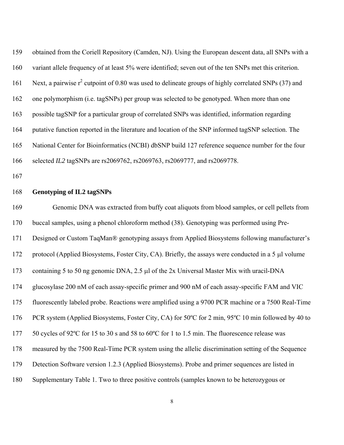159 160 161 162 163 164 165 166 obtained from the Coriell Repository (Camden, NJ). Using the European descent data, all SNPs with a variant allele frequency of at least 5% were identified; seven out of the ten SNPs met this criterion. Next, a pairwise  $r^2$  cutpoint of 0.80 was used to delineate groups of highly correlated SNPs (37) and one polymorphism (i.e. tagSNPs) per group was selected to be genotyped. When more than one possible tagSNP for a particular group of correlated SNPs was identified, information regarding putative function reported in the literature and location of the SNP informed tagSNP selection. The National Center for Bioinformatics (NCBI) dbSNP build 127 reference sequence number for the four selected *IL2* tagSNPs are rs2069762, rs2069763, rs2069777, and rs2069778.

167

#### 168 **Genotyping of IL2 tagSNPs**

169 170 171 172 173 174 175 176 177 178 179 180 Genomic DNA was extracted from buffy coat aliquots from blood samples, or cell pellets from buccal samples, using a phenol chloroform method (38). Genotyping was performed using Pre-Designed or Custom TaqMan® genotyping assays from Applied Biosystems following manufacturer's protocol (Applied Biosystems, Foster City, CA). Briefly, the assays were conducted in a 5 μl volume containing 5 to 50 ng genomic DNA, 2.5 μl of the 2x Universal Master Mix with uracil-DNA glucosylase 200 nM of each assay-specific primer and 900 nM of each assay-specific FAM and VIC fluorescently labeled probe. Reactions were amplified using a 9700 PCR machine or a 7500 Real-Time PCR system (Applied Biosystems, Foster City, CA) for 50ºC for 2 min, 95ºC 10 min followed by 40 to 50 cycles of 92ºC for 15 to 30 s and 58 to 60ºC for 1 to 1.5 min. The fluorescence release was measured by the 7500 Real-Time PCR system using the allelic discrimination setting of the Sequence Detection Software version 1.2.3 (Applied Biosystems). Probe and primer sequences are listed in Supplementary Table 1. Two to three positive controls (samples known to be heterozygous or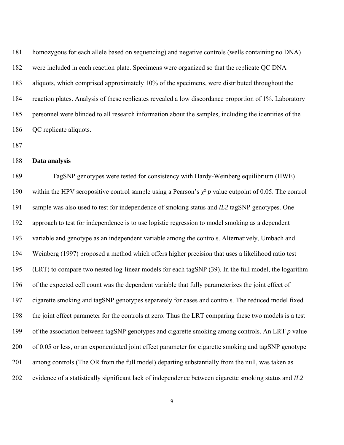181 182 183 184 185 186 homozygous for each allele based on sequencing) and negative controls (wells containing no DNA) were included in each reaction plate. Specimens were organized so that the replicate QC DNA aliquots, which comprised approximately 10% of the specimens, were distributed throughout the reaction plates. Analysis of these replicates revealed a low discordance proportion of 1%. Laboratory personnel were blinded to all research information about the samples, including the identities of the QC replicate aliquots.

187

# 188 **Data analysis**

189 190 191 192 193 194 195 196 197 198 199 200 201 202 TagSNP genotypes were tested for consistency with Hardy-Weinberg equilibrium (HWE) within the HPV seropositive control sample using a Pearson's  $\chi^2$  *p* value cutpoint of 0.05. The control sample was also used to test for independence of smoking status and *IL2* tagSNP genotypes. One approach to test for independence is to use logistic regression to model smoking as a dependent variable and genotype as an independent variable among the controls. Alternatively, Umbach and Weinberg (1997) proposed a method which offers higher precision that uses a likelihood ratio test (LRT) to compare two nested log-linear models for each tagSNP (39). In the full model, the logarithm of the expected cell count was the dependent variable that fully parameterizes the joint effect of cigarette smoking and tagSNP genotypes separately for cases and controls. The reduced model fixed the joint effect parameter for the controls at zero. Thus the LRT comparing these two models is a test of the association between tagSNP genotypes and cigarette smoking among controls. An LRT *p* value of 0.05 or less, or an exponentiated joint effect parameter for cigarette smoking and tagSNP genotype among controls (The OR from the full model) departing substantially from the null, was taken as evidence of a statistically significant lack of independence between cigarette smoking status and *IL2*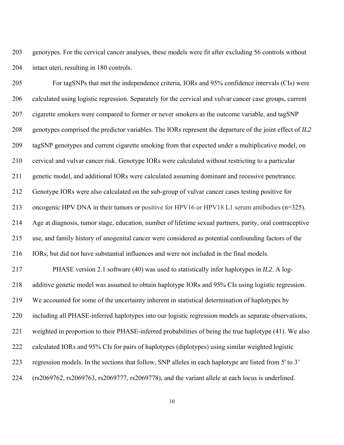203 204 genotypes. For the cervical cancer analyses, these models were fit after excluding 56 controls without intact uteri, resulting in 180 controls.

205 206 207 208 209 210 211 212 213 214 215 216 217 218 219 220 221 222 223 224 For tagSNPs that met the independence criteria, IORs and 95% confidence intervals (CIs) were calculated using logistic regression. Separately for the cervical and vulvar cancer case groups, current cigarette smokers were compared to former or never smokers as the outcome variable, and tagSNP genotypes comprised the predictor variables. The IORs represent the departure of the joint effect of *IL2* tagSNP genotypes and current cigarette smoking from that expected under a multiplicative model, on cervical and vulvar cancer risk. Genotype IORs were calculated without restricting to a particular genetic model, and additional IORs were calculated assuming dominant and recessive penetrance. Genotype IORs were also calculated on the sub-group of vulvar cancer cases testing positive for oncogenic HPV DNA in their tumors or positive for HPV16 or HPV18 L1 serum antibodies (n=325). Age at diagnosis, tumor stage, education, number of lifetime sexual partners, parity, oral contraceptive use, and family history of anogenital cancer were considered as potential confounding factors of the IORs, but did not have substantial influences and were not included in the final models. PHASE version 2.1 software (40) was used to statistically infer haplotypes in *IL2*. A logadditive genetic model was assumed to obtain haplotype IORs and 95% CIs using logistic regression. We accounted for some of the uncertainty inherent in statistical determination of haplotypes by including all PHASE-inferred haplotypes into our logistic regression models as separate observations, weighted in proportion to their PHASE-inferred probabilities of being the true haplotype (41). We also calculated IORs and 95% CIs for pairs of haplotypes (diplotypes) using similar weighted logistic regression models. In the sections that follow, SNP alleles in each haplotype are listed from 5' to 3' (rs2069762, rs2069763, rs2069777, rs2069778), and the variant allele at each locus is underlined.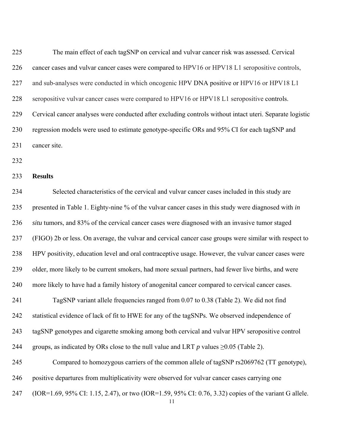225 226 227 228 229 230 231 The main effect of each tagSNP on cervical and vulvar cancer risk was assessed. Cervical cancer cases and vulvar cancer cases were compared to HPV16 or HPV18 L1 seropositive controls, and sub-analyses were conducted in which oncogenic HPV DNA positive or HPV16 or HPV18 L1 seropositive vulvar cancer cases were compared to HPV16 or HPV18 L1 seropositive controls. Cervical cancer analyses were conducted after excluding controls without intact uteri. Separate logistic regression models were used to estimate genotype-specific ORs and 95% CI for each tagSNP and cancer site.

- 232
- 233 **Results**

234 235 236 237 238 239 240 241 242 243 244 245 246 247 Selected characteristics of the cervical and vulvar cancer cases included in this study are presented in Table 1. Eighty-nine % of the vulvar cancer cases in this study were diagnosed with *in situ* tumors, and 83% of the cervical cancer cases were diagnosed with an invasive tumor staged (FIGO) 2b or less. On average, the vulvar and cervical cancer case groups were similar with respect to HPV positivity, education level and oral contraceptive usage. However, the vulvar cancer cases were older, more likely to be current smokers, had more sexual partners, had fewer live births, and were more likely to have had a family history of anogenital cancer compared to cervical cancer cases. TagSNP variant allele frequencies ranged from 0.07 to 0.38 (Table 2). We did not find statistical evidence of lack of fit to HWE for any of the tagSNPs. We observed independence of tagSNP genotypes and cigarette smoking among both cervical and vulvar HPV seropositive control groups, as indicated by ORs close to the null value and LRT  $p$  values  $\geq 0.05$  (Table 2). Compared to homozygous carriers of the common allele of tagSNP rs2069762 (TT genotype), positive departures from multiplicativity were observed for vulvar cancer cases carrying one (IOR=1.69, 95% CI: 1.15, 2.47), or two (IOR=1.59, 95% CI: 0.76, 3.32) copies of the variant G allele.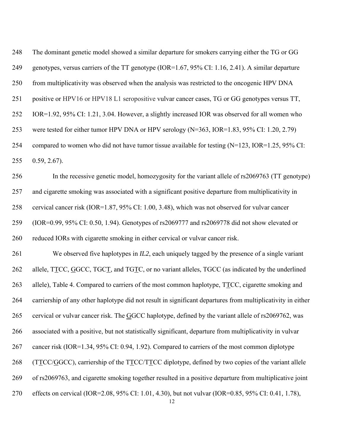248 249 250 251 252 253 254 255 256 257 258 259 260 261 The dominant genetic model showed a similar departure for smokers carrying either the TG or GG genotypes, versus carriers of the TT genotype (IOR=1.67, 95% CI: 1.16, 2.41). A similar departure from multiplicativity was observed when the analysis was restricted to the oncogenic HPV DNA positive or HPV16 or HPV18 L1 seropositive vulvar cancer cases, TG or GG genotypes versus TT, IOR=1.92, 95% CI: 1.21, 3.04. However, a slightly increased IOR was observed for all women who were tested for either tumor HPV DNA or HPV serology (N=363, IOR=1.83, 95% CI: 1.20, 2.79) compared to women who did not have tumor tissue available for testing (N=123, IOR=1.25, 95% CI: 0.59, 2.67). In the recessive genetic model, homozygosity for the variant allele of rs2069763 (TT genotype) and cigarette smoking was associated with a significant positive departure from multiplicativity in cervical cancer risk (IOR=1.87, 95% CI: 1.00, 3.48), which was not observed for vulvar cancer (IOR=0.99, 95% CI: 0.50, 1.94). Genotypes of rs2069777 and rs2069778 did not show elevated or reduced IORs with cigarette smoking in either cervical or vulvar cancer risk. We observed five haplotypes in *IL2*, each uniquely tagged by the presence of a single variant allele, TTCC, GGCC, TGCT, and TGTC, or no variant alleles, TGCC (as indicated by the underlined allele), Table 4. Compared to carriers of the most common haplotype,  $TTCC$ , cigarette smoking and 262 carriership of any other haplotype did not result in significant departures from multiplicativity in either 263 264

cervical or vulvar cancer risk. The GGCC haplotype, defined by the variant allele of rs2069762, was

associated with a positive, but not statistically significant, departure from multiplicativity in vulvar 266

265

cancer risk (IOR=1.34, 95% CI: 0.94, 1.92). Compared to carriers of the most common diplotype 267

 $(TTCC/GGCC)$ , carriership of the  $TTCC/TTCC$  diplotype, defined by two copies of the variant allele 268

of rs2069763, and cigarette smoking together resulted in a positive departure from multiplicative joint 269

effects on cervical (IOR=2.08, 95% CI: 1.01, 4.30), but not vulvar (IOR=0.85, 95% CI: 0.41, 1.78), 270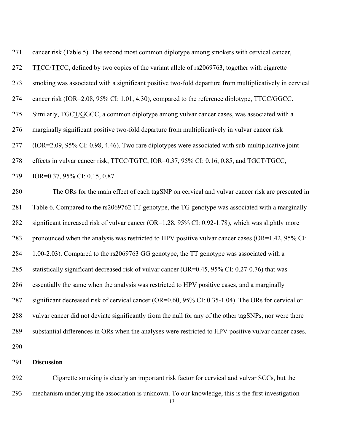| 271 | cancer risk (Table 5). The second most common diplotype among smokers with cervical cancer,             |
|-----|---------------------------------------------------------------------------------------------------------|
| 272 | TTCC/TTCC, defined by two copies of the variant allele of rs2069763, together with cigarette            |
| 273 | smoking was associated with a significant positive two-fold departure from multiplicatively in cervical |
| 274 | cancer risk (IOR=2.08, 95% CI: 1.01, 4.30), compared to the reference diplotype, TTCC/GGCC.             |
| 275 | Similarly, TGCT/GGCC, a common diplotype among vulvar cancer cases, was associated with a               |
| 276 | marginally significant positive two-fold departure from multiplicatively in vulvar cancer risk          |
| 277 | (IOR=2.09, 95% CI: 0.98, 4.46). Two rare diplotypes were associated with sub-multiplicative joint       |
| 278 | effects in vulvar cancer risk, TTCC/TGTC, IOR=0.37, 95% CI: 0.16, 0.85, and TGCT/TGCC,                  |
| 279 | IOR=0.37, 95% CI: 0.15, 0.87.                                                                           |
| 280 | The ORs for the main effect of each tagSNP on cervical and vulvar cancer risk are presented in          |
| 281 | Table 6. Compared to the rs2069762 TT genotype, the TG genotype was associated with a marginally        |
| 282 | significant increased risk of vulvar cancer (OR=1.28, 95% CI: 0.92-1.78), which was slightly more       |
| 283 | pronounced when the analysis was restricted to HPV positive vulvar cancer cases (OR=1.42, 95% CI:       |
| 284 | 1.00-2.03). Compared to the rs2069763 GG genotype, the TT genotype was associated with a                |
| 285 | statistically significant decreased risk of vulvar cancer (OR=0.45, 95% CI: 0.27-0.76) that was         |
| 286 | essentially the same when the analysis was restricted to HPV positive cases, and a marginally           |
| 287 | significant decreased risk of cervical cancer (OR=0.60, 95% CI: 0.35-1.04). The ORs for cervical or     |
| 288 | vulvar cancer did not deviate significantly from the null for any of the other tagSNPs, nor were there  |
| 289 | substantial differences in ORs when the analyses were restricted to HPV positive vulvar cancer cases.   |
| 290 |                                                                                                         |
| 291 | <b>Discussion</b>                                                                                       |
|     |                                                                                                         |

292 293 Cigarette smoking is clearly an important risk factor for cervical and vulvar SCCs, but the mechanism underlying the association is unknown. To our knowledge, this is the first investigation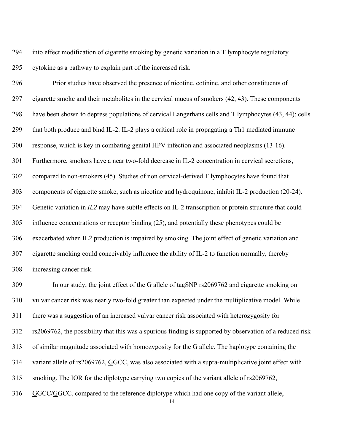294 295 into effect modification of cigarette smoking by genetic variation in a T lymphocyte regulatory cytokine as a pathway to explain part of the increased risk.

296 297 298 299 300 301 302 303 304 305 306 307 308 Prior studies have observed the presence of nicotine, cotinine, and other constituents of cigarette smoke and their metabolites in the cervical mucus of smokers (42, 43). These components have been shown to depress populations of cervical Langerhans cells and T lymphocytes (43, 44); cells that both produce and bind IL-2. IL-2 plays a critical role in propagating a Th1 mediated immune response, which is key in combating genital HPV infection and associated neoplasms (13-16). Furthermore, smokers have a near two-fold decrease in IL-2 concentration in cervical secretions, compared to non-smokers (45). Studies of non cervical-derived T lymphocytes have found that components of cigarette smoke, such as nicotine and hydroquinone, inhibit IL-2 production (20-24). Genetic variation in *IL2* may have subtle effects on IL-2 transcription or protein structure that could influence concentrations or receptor binding (25), and potentially these phenotypes could be exacerbated when IL2 production is impaired by smoking. The joint effect of genetic variation and cigarette smoking could conceivably influence the ability of IL-2 to function normally, thereby increasing cancer risk.

309 310 311 312 313 In our study, the joint effect of the G allele of tagSNP rs2069762 and cigarette smoking on vulvar cancer risk was nearly two-fold greater than expected under the multiplicative model. While there was a suggestion of an increased vulvar cancer risk associated with heterozygosity for rs2069762, the possibility that this was a spurious finding is supported by observation of a reduced risk of similar magnitude associated with homozygosity for the G allele. The haplotype containing the variant allele of rs2069762, GGCC, was also associated with a supra-multiplicative joint effect with smoking. The IOR for the diplotype carrying two copies of the variant allele of rs2069762, 314 315 316 GGCC/GGCC, compared to the reference diplotype which had one copy of the variant allele,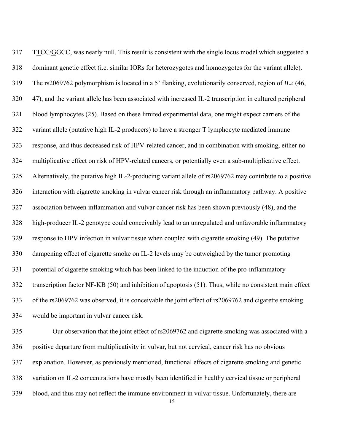TTCC/GGCC, was nearly null. This result is consistent with the single locus model which suggested a dominant genetic effect (i.e. similar IORs for heterozygotes and homozygotes for the variant allele). The rs2069762 polymorphism is located in a 5' flanking, evolutionarily conserved, region of *IL2* (46, 47), and the variant allele has been associated with increased IL-2 transcription in cultured peripheral blood lymphocytes (25). Based on these limited experimental data, one might expect carriers of the variant allele (putative high IL-2 producers) to have a stronger T lymphocyte mediated immune response, and thus decreased risk of HPV-related cancer, and in combination with smoking, either no multiplicative effect on risk of HPV-related cancers, or potentially even a sub-multiplicative effect. Alternatively, the putative high IL-2-producing variant allele of rs2069762 may contribute to a positive interaction with cigarette smoking in vulvar cancer risk through an inflammatory pathway. A positive association between inflammation and vulvar cancer risk has been shown previously (48), and the high-producer IL-2 genotype could conceivably lead to an unregulated and unfavorable inflammatory response to HPV infection in vulvar tissue when coupled with cigarette smoking (49). The putative dampening effect of cigarette smoke on IL-2 levels may be outweighed by the tumor promoting potential of cigarette smoking which has been linked to the induction of the pro-inflammatory transcription factor NF-ΚΒ (50) and inhibition of apoptosis (51). Thus, while no consistent main effect of the rs2069762 was observed, it is conceivable the joint effect of rs2069762 and cigarette smoking would be important in vulvar cancer risk. 317 318 319 320 321 322 323 324 325 326 327 328 329 330 331 332 333 334

335 336 337 338 339 Our observation that the joint effect of rs2069762 and cigarette smoking was associated with a positive departure from multiplicativity in vulvar, but not cervical, cancer risk has no obvious explanation. However, as previously mentioned, functional effects of cigarette smoking and genetic variation on IL-2 concentrations have mostly been identified in healthy cervical tissue or peripheral blood, and thus may not reflect the immune environment in vulvar tissue. Unfortunately, there are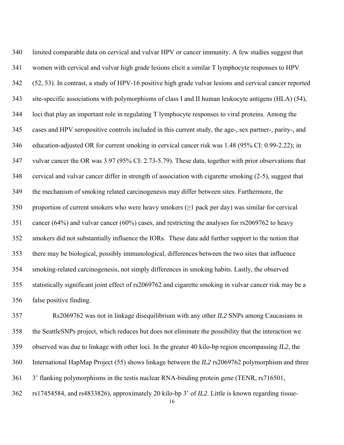340 341 342 343 344 345 346 347 348 349 350 351 352 353 354 355 356 limited comparable data on cervical and vulvar HPV or cancer immunity. A few studies suggest that women with cervical and vulvar high grade lesions elicit a similar T lymphocyte responses to HPV (52, 53). In contrast, a study of HPV-16 positive high grade vulvar lesions and cervical cancer reported site-specific associations with polymorphisms of class I and II human leukocyte antigens (HLA) (54), loci that play an important role in regulating T lymphocyte responses to viral proteins. Among the cases and HPV seropositive controls included in this current study, the age-, sex partner-, parity-, and education-adjusted OR for current smoking in cervical cancer risk was 1.48 (95% CI: 0.99-2.22); in vulvar cancer the OR was 3.97 (95% CI: 2.73-5.79). These data, together with prior observations that cervical and vulvar cancer differ in strength of association with cigarette smoking (2-5), suggest that the mechanism of smoking related carcinogenesis may differ between sites. Furthermore, the proportion of current smokers who were heavy smokers ( $\geq 1$  pack per day) was similar for cervical cancer (64%) and vulvar cancer (60%) cases, and restricting the analyses for rs2069762 to heavy smokers did not substantially influence the IORs. These data add further support to the notion that there may be biological, possibly immunological, differences between the two sites that influence smoking-related carcinogenesis, not simply differences in smoking habits. Lastly, the observed statistically significant joint effect of rs2069762 and cigarette smoking in vulvar cancer risk may be a false positive finding.

357 358 359 360 361 362 Rs2069762 was not in linkage disequilibrium with any other *IL2* SNPs among Caucasians in the SeattleSNPs project, which reduces but does not eliminate the possibility that the interaction we observed was due to linkage with other loci. In the greater 40 kilo-bp region encompassing *IL2*, the International HapMap Project (55) shows linkage between the *IL2* rs2069762 polymorphism and three 3' flanking polymorphisms in the testis nuclear RNA-binding protein gene (TENR, rs716501, rs17454584, and rs4833826), approximately 20 kilo-bp 3' of *IL2*. Little is known regarding tissue-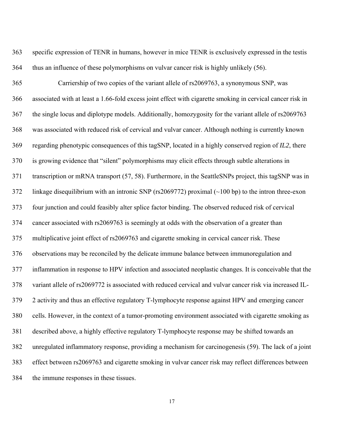363 364 specific expression of TENR in humans, however in mice TENR is exclusively expressed in the testis thus an influence of these polymorphisms on vulvar cancer risk is highly unlikely (56).

365 366 367 368 369 370 371 372 373 374 375 376 377 378 379 380 381 382 383 384 Carriership of two copies of the variant allele of rs2069763, a synonymous SNP, was associated with at least a 1.66-fold excess joint effect with cigarette smoking in cervical cancer risk in the single locus and diplotype models. Additionally, homozygosity for the variant allele of rs2069763 was associated with reduced risk of cervical and vulvar cancer. Although nothing is currently known regarding phenotypic consequences of this tagSNP, located in a highly conserved region of *IL2*, there is growing evidence that "silent" polymorphisms may elicit effects through subtle alterations in transcription or mRNA transport (57, 58). Furthermore, in the SeattleSNPs project, this tagSNP was in linkage disequilibrium with an intronic SNP (rs2069772) proximal (~100 bp) to the intron three-exon four junction and could feasibly alter splice factor binding. The observed reduced risk of cervical cancer associated with rs2069763 is seemingly at odds with the observation of a greater than multiplicative joint effect of rs2069763 and cigarette smoking in cervical cancer risk. These observations may be reconciled by the delicate immune balance between immunoregulation and inflammation in response to HPV infection and associated neoplastic changes. It is conceivable that the variant allele of rs2069772 is associated with reduced cervical and vulvar cancer risk via increased IL-2 activity and thus an effective regulatory T-lymphocyte response against HPV and emerging cancer cells. However, in the context of a tumor-promoting environment associated with cigarette smoking as described above, a highly effective regulatory T-lymphocyte response may be shifted towards an unregulated inflammatory response, providing a mechanism for carcinogenesis (59). The lack of a joint effect between rs2069763 and cigarette smoking in vulvar cancer risk may reflect differences between the immune responses in these tissues.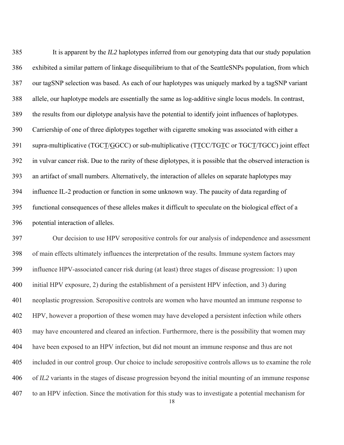385 386 387 388 389 390 It is apparent by the *IL2* haplotypes inferred from our genotyping data that our study population exhibited a similar pattern of linkage disequilibrium to that of the SeattleSNPs population, from which our tagSNP selection was based. As each of our haplotypes was uniquely marked by a tagSNP variant allele, our haplotype models are essentially the same as log-additive single locus models. In contrast, the results from our diplotype analysis have the potential to identify joint influences of haplotypes. Carriership of one of three diplotypes together with cigarette smoking was associated with either a supra-multiplicative (TGCT/GGCC) or sub-multiplicative (TTCC/TGTC or TGCT/TGCC) joint effect in vulvar cancer risk. Due to the rarity of these diplotypes, it is possible that the observed interaction is an artifact of small numbers. Alternatively, the interaction of alleles on separate haplotypes may influence IL-2 production or function in some unknown way. The paucity of data regarding of functional consequences of these alleles makes it difficult to speculate on the biological effect of a potential interaction of alleles. 391 392 393 394 395 396

397 398 399 400 401 402 403 404 405 406 407 Our decision to use HPV seropositive controls for our analysis of independence and assessment of main effects ultimately influences the interpretation of the results. Immune system factors may influence HPV-associated cancer risk during (at least) three stages of disease progression: 1) upon initial HPV exposure, 2) during the establishment of a persistent HPV infection, and 3) during neoplastic progression. Seropositive controls are women who have mounted an immune response to HPV, however a proportion of these women may have developed a persistent infection while others may have encountered and cleared an infection. Furthermore, there is the possibility that women may have been exposed to an HPV infection, but did not mount an immune response and thus are not included in our control group. Our choice to include seropositive controls allows us to examine the role of *IL2* variants in the stages of disease progression beyond the initial mounting of an immune response to an HPV infection. Since the motivation for this study was to investigate a potential mechanism for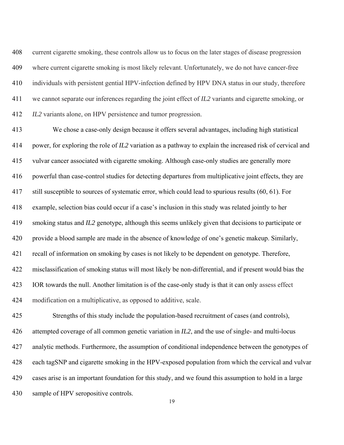408 409 410 411 412 current cigarette smoking, these controls allow us to focus on the later stages of disease progression where current cigarette smoking is most likely relevant. Unfortunately, we do not have cancer-free individuals with persistent gential HPV-infection defined by HPV DNA status in our study, therefore we cannot separate our inferences regarding the joint effect of *IL2* variants and cigarette smoking, or *IL2* variants alone, on HPV persistence and tumor progression.

413 414 415 416 417 418 419 420 421 422 423 424 We chose a case-only design because it offers several advantages, including high statistical power, for exploring the role of *IL2* variation as a pathway to explain the increased risk of cervical and vulvar cancer associated with cigarette smoking. Although case-only studies are generally more powerful than case-control studies for detecting departures from multiplicative joint effects, they are still susceptible to sources of systematic error, which could lead to spurious results (60, 61). For example, selection bias could occur if a case's inclusion in this study was related jointly to her smoking status and *IL2* genotype, although this seems unlikely given that decisions to participate or provide a blood sample are made in the absence of knowledge of one's genetic makeup. Similarly, recall of information on smoking by cases is not likely to be dependent on genotype. Therefore, misclassification of smoking status will most likely be non-differential, and if present would bias the IOR towards the null. Another limitation is of the case-only study is that it can only assess effect modification on a multiplicative, as opposed to additive, scale.

425 426 427 428 429 430 Strengths of this study include the population-based recruitment of cases (and controls), attempted coverage of all common genetic variation in *IL2*, and the use of single- and multi-locus analytic methods. Furthermore, the assumption of conditional independence between the genotypes of each tagSNP and cigarette smoking in the HPV-exposed population from which the cervical and vulvar cases arise is an important foundation for this study, and we found this assumption to hold in a large sample of HPV seropositive controls.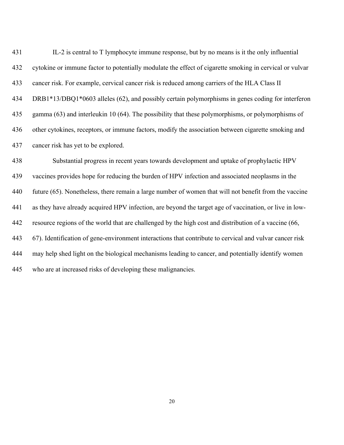431 432 433 434 435 436 437 IL-2 is central to T lymphocyte immune response, but by no means is it the only influential cytokine or immune factor to potentially modulate the effect of cigarette smoking in cervical or vulvar cancer risk. For example, cervical cancer risk is reduced among carriers of the HLA Class II DRB1\*13/DBQ1\*0603 alleles (62), and possibly certain polymorphisms in genes coding for interferon gamma (63) and interleukin 10 (64). The possibility that these polymorphisms, or polymorphisms of other cytokines, receptors, or immune factors, modify the association between cigarette smoking and cancer risk has yet to be explored.

438 439 440 441 442 443 444 445 Substantial progress in recent years towards development and uptake of prophylactic HPV vaccines provides hope for reducing the burden of HPV infection and associated neoplasms in the future (65). Nonetheless, there remain a large number of women that will not benefit from the vaccine as they have already acquired HPV infection, are beyond the target age of vaccination, or live in lowresource regions of the world that are challenged by the high cost and distribution of a vaccine (66, 67). Identification of gene-environment interactions that contribute to cervical and vulvar cancer risk may help shed light on the biological mechanisms leading to cancer, and potentially identify women who are at increased risks of developing these malignancies.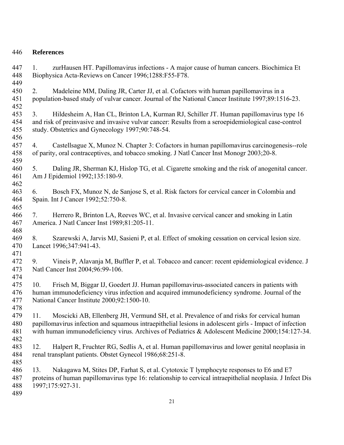# 446 **References**

447 448 449 1. zurHausen HT. Papillomavirus infections - A major cause of human cancers. Biochimica Et Biophysica Acta-Reviews on Cancer 1996;1288:F55-F78.

450 451 452 2. Madeleine MM, Daling JR, Carter JJ, et al. Cofactors with human papillomavirus in a population-based study of vulvar cancer. Journal of the National Cancer Institute 1997;89:1516-23.

453 454 455 456 3. Hildesheim A, Han CL, Brinton LA, Kurman RJ, Schiller JT. Human papillomavirus type 16 and risk of preinvasive and invasive vulvar cancer: Results from a seroepidemiological case-control study. Obstetrics and Gynecology 1997;90:748-54.

457 458 4. Castellsague X, Munoz N. Chapter 3: Cofactors in human papillomavirus carcinogenesis--role of parity, oral contraceptives, and tobacco smoking. J Natl Cancer Inst Monogr 2003;20-8.

459 460 461 462 5. Daling JR, Sherman KJ, Hislop TG, et al. Cigarette smoking and the risk of anogenital cancer. Am J Epidemiol 1992;135:180-9.

- 463 464 465 6. Bosch FX, Munoz N, de Sanjose S, et al. Risk factors for cervical cancer in Colombia and Spain. Int J Cancer 1992;52:750-8.
- 466 467 468 7. Herrero R, Brinton LA, Reeves WC, et al. Invasive cervical cancer and smoking in Latin America. J Natl Cancer Inst 1989;81:205-11.

469 470 471 8. Szarewski A, Jarvis MJ, Sasieni P, et al. Effect of smoking cessation on cervical lesion size. Lancet 1996;347:941-43.

472 473 474 9. Vineis P, Alavanja M, Buffler P, et al. Tobacco and cancer: recent epidemiological evidence. J Natl Cancer Inst 2004;96:99-106.

475 476 477 10. Frisch M, Biggar IJ, Goedert JJ. Human papillomavirus-associated cancers in patients with human immunodeficiency virus infection and acquired immunodeficiency syndrome. Journal of the National Cancer Institute 2000;92:1500-10.

479 480 481 482 11. Moscicki AB, Ellenberg JH, Vermund SH, et al. Prevalence of and risks for cervical human papillomavirus infection and squamous intraepithelial lesions in adolescent girls - Impact of infection with human immunodeficiency virus. Archives of Pediatrics & Adolescent Medicine 2000;154:127-34.

483 484 485 12. Halpert R, Fruchter RG, Sedlis A, et al. Human papillomavirus and lower genital neoplasia in renal transplant patients. Obstet Gynecol 1986;68:251-8.

486 487 488 13. Nakagawa M, Stites DP, Farhat S, et al. Cytotoxic T lymphocyte responses to E6 and E7 proteins of human papillomavirus type 16: relationship to cervical intraepithelial neoplasia. J Infect Dis 1997;175:927-31.

489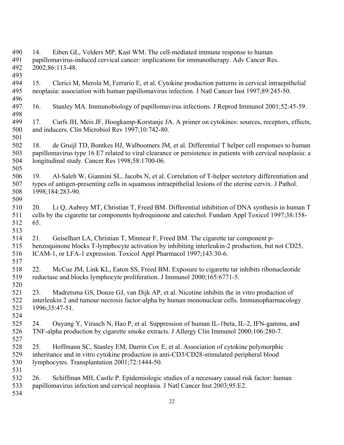490 491 492 493 494 14. Eiben GL, Velders MP, Kast WM. The cell-mediated immune response to human papillomavirus-induced cervical cancer: implications for immunotherapy. Adv Cancer Res. 2002;86:113-48. 15. Clerici M, Merola M, Ferrario E, et al. Cytokine production patterns in cervical intraepithelial

- 495 496 neoplasia: association with human papillomavirus infection. J Natl Cancer Inst 1997;89:245-50.
- 497 498 16. Stanley MA. Immunobiology of papillomavirus infections. J Reprod Immunol 2001;52:45-59.
- 499 500 17. Curfs JH, Meis JF, Hoogkamp-Korstanje JA. A primer on cytokines: sources, receptors, effects, and inducers. Clin Microbiol Rev 1997;10:742-80.
- 502 503 504 18. de Gruijl TD, Bontkes HJ, Walboomers JM, et al. Differential T helper cell responses to human papillomavirus type 16 E7 related to viral clearance or persistence in patients with cervical neoplasia: a longitudinal study. Cancer Res 1998;58:1700-06.
- 506 507 508 19. Al-Saleh W, Giannini SL, Jacobs N, et al. Correlation of T-helper secretory differentiation and types of antigen-presenting cells in squamous intraepithelial lesions of the uterine cervix. J Pathol. 1998;184:283-90.
- 510 511 512 20. Li Q, Aubrey MT, Christian T, Freed BM. Differential inhibition of DNA synthesis in human T cells by the cigarette tar components hydroquinone and catechol. Fundam Appl Toxicol 1997;38:158- 65.
- 514 515 516 21. Geiselhart LA, Christian T, Minnear F, Freed BM. The cigarette tar component pbenzoquinone blocks T-lymphocyte activation by inhibiting interleukin-2 production, but not CD25, ICAM-1, or LFA-1 expression. Toxicol Appl Pharmacol 1997;143:30-6.
- 517 518 519 520 22. McCue JM, Link KL, Eaton SS, Freed BM. Exposure to cigarette tar inhibits ribonucleotide reductase and blocks lymphocyte proliferation. J Immunol 2000;165:6771-5.
- 521 522 523 23. Madretsma GS, Donze GJ, van Dijk AP, et al. Nicotine inhibits the in vitro production of interleukin 2 and tumour necrosis factor-alpha by human mononuclear cells. Immunopharmacology 1996;35:47-51.
- 525 526 24. Ouyang Y, Virasch N, Hao P, et al. Suppression of human IL-1beta, IL-2, IFN-gamma, and TNF-alpha production by cigarette smoke extracts. J Allergy Clin Immunol 2000;106:280-7.
- 527 528 529 530 25. Hoffmann SC, Stanley EM, Darrin Cox E, et al. Association of cytokine polymorphic inheritance and in vitro cytokine production in anti-CD3/CD28-stimulated peripheral blood lymphocytes. Transplantation 2001;72:1444-50.
- 532 533 26. Schiffman MH, Castle P. Epidemiologic studies of a necessary causal risk factor: human papillomavirus infection and cervical neoplasia. J Natl Cancer Inst 2003;95:E2.
- 534

531

501

505

509

513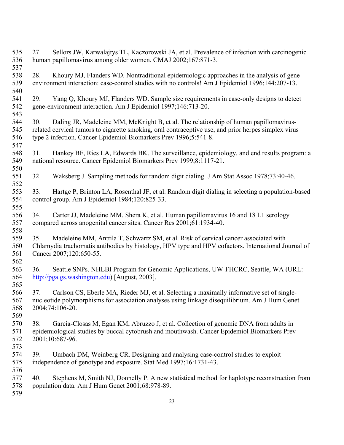27. Sellors JW, Karwalajtys TL, Kaczorowski JA, et al. Prevalence of infection with carcinogenic human papillomavirus among older women. CMAJ 2002;167:871-3. 28. Khoury MJ, Flanders WD. Nontraditional epidemiologic approaches in the analysis of geneenvironment interaction: case-control studies with no controls! Am J Epidemiol 1996;144:207-13. 29. Yang Q, Khoury MJ, Flanders WD. Sample size requirements in case-only designs to detect gene-environment interaction. Am J Epidemiol 1997;146:713-20. 30. Daling JR, Madeleine MM, McKnight B, et al. The relationship of human papillomavirusrelated cervical tumors to cigarette smoking, oral contraceptive use, and prior herpes simplex virus type 2 infection. Cancer Epidemiol Biomarkers Prev 1996;5:541-8. 31. Hankey BF, Ries LA, Edwards BK. The surveillance, epidemiology, and end results program: a national resource. Cancer Epidemiol Biomarkers Prev 1999;8:1117-21. 32. Waksberg J. Sampling methods for random digit dialing. J Am Stat Assoc 1978;73:40-46. 33. Hartge P, Brinton LA, Rosenthal JF, et al. Random digit dialing in selecting a population-based control group. Am J Epidemiol 1984;120:825-33. 34. Carter JJ, Madeleine MM, Shera K, et al. Human papillomavirus 16 and 18 L1 serology compared across anogenital cancer sites. Cancer Res 2001;61:1934-40. 35. Madeleine MM, Anttila T, Schwartz SM, et al. Risk of cervical cancer associated with Chlamydia trachomatis antibodies by histology, HPV type and HPV cofactors. International Journal of Cancer 2007;120:650-55. 36. Seattle SNPs. NHLBI Program for Genomic Applications, UW-FHCRC, Seattle, WA (URL: [http://pga.gs.washington.edu\)](http://pga.gs.washington.edu/) [August, 2003]. 37. Carlson CS, Eberle MA, Rieder MJ, et al. Selecting a maximally informative set of singlenucleotide polymorphisms for association analyses using linkage disequilibrium. Am J Hum Genet 2004;74:106-20. 38. Garcia-Closas M, Egan KM, Abruzzo J, et al. Collection of genomic DNA from adults in epidemiological studies by buccal cytobrush and mouthwash. Cancer Epidemiol Biomarkers Prev 2001;10:687-96. 39. Umbach DM, Weinberg CR. Designing and analysing case-control studies to exploit independence of genotype and exposure. Stat Med 1997;16:1731-43. 40. Stephens M, Smith NJ, Donnelly P. A new statistical method for haplotype reconstruction from population data. Am J Hum Genet 2001;68:978-89.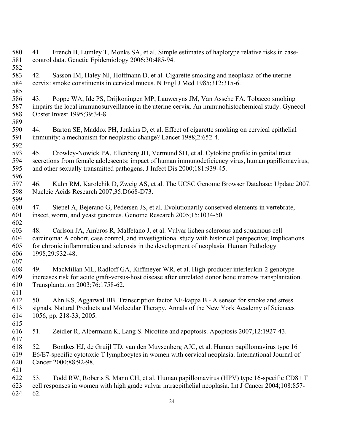580 581 582 583 584 585 586 587 588 589 590 591 592 593 594 595 596 597 598 599 600 601 602 603 604 605 606 607 608 609 610 611 612 613 614 615 616 617 618 619 620 621 622 623 624 41. French B, Lumley T, Monks SA, et al. Simple estimates of haplotype relative risks in casecontrol data. Genetic Epidemiology 2006;30:485-94. 42. Sasson IM, Haley NJ, Hoffmann D, et al. Cigarette smoking and neoplasia of the uterine cervix: smoke constituents in cervical mucus. N Engl J Med 1985;312:315-6. 43. Poppe WA, Ide PS, Drijkoningen MP, Lauweryns JM, Van Assche FA. Tobacco smoking impairs the local immunosurveillance in the uterine cervix. An immunohistochemical study. Gynecol Obstet Invest 1995;39:34-8. 44. Barton SE, Maddox PH, Jenkins D, et al. Effect of cigarette smoking on cervical epithelial immunity: a mechanism for neoplastic change? Lancet 1988;2:652-4. 45. Crowley-Nowick PA, Ellenberg JH, Vermund SH, et al. Cytokine profile in genital tract secretions from female adolescents: impact of human immunodeficiency virus, human papillomavirus, and other sexually transmitted pathogens. J Infect Dis 2000;181:939-45. 46. Kuhn RM, Karolchik D, Zweig AS, et al. The UCSC Genome Browser Database: Update 2007. Nucleic Acids Research 2007;35:D668-D73. 47. Siepel A, Bejerano G, Pedersen JS, et al. Evolutionarily conserved elements in vertebrate, insect, worm, and yeast genomes. Genome Research 2005;15:1034-50. 48. Carlson JA, Ambros R, Malfetano J, et al. Vulvar lichen sclerosus and squamous cell carcinoma: A cohort, case control, and investigational study with historical perspective; Implications for chronic inflammation and sclerosis in the development of neoplasia. Human Pathology 1998;29:932-48. 49. MacMillan ML, Radloff GA, Kiffmeyer WR, et al. High-producer interleukin-2 genotype increases risk for acute graft-versus-host disease after unrelated donor bone marrow transplantation. Transplantation 2003;76:1758-62. 50. Ahn KS, Aggarwal BB. Transcription factor NF-kappa B - A sensor for smoke and stress signals. Natural Products and Molecular Therapy, Annals of the New York Academy of Sciences 1056, pp. 218-33, 2005. 51. Zeidler R, Albermann K, Lang S. Nicotine and apoptosis. Apoptosis 2007;12:1927-43. 52. Bontkes HJ, de Gruijl TD, van den Muysenberg AJC, et al. Human papillomavirus type 16 E6/E7-specific cytotoxic T lymphocytes in women with cervical neoplasia. International Journal of Cancer 2000;88:92-98. 53. Todd RW, Roberts S, Mann CH, et al. Human papillomavirus (HPV) type 16-specific CD8+ T cell responses in women with high grade vulvar intraepithelial neoplasia. Int J Cancer 2004;108:857- 62.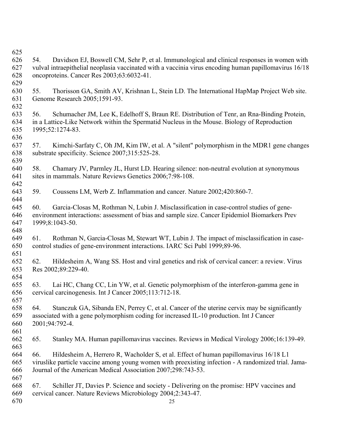54. Davidson EJ, Boswell CM, Sehr P, et al. Immunological and clinical responses in women with vulval intraepithelial neoplasia vaccinated with a vaccinia virus encoding human papillomavirus 16/18 oncoproteins. Cancer Res 2003;63:6032-41. 55. Thorisson GA, Smith AV, Krishnan L, Stein LD. The International HapMap Project Web site. Genome Research 2005;1591-93. 56. Schumacher JM, Lee K, Edelhoff S, Braun RE. Distribution of Tenr, an Rna-Binding Protein, in a Lattice-Like Network within the Spermatid Nucleus in the Mouse. Biology of Reproduction 1995;52:1274-83. 57. Kimchi-Sarfaty C, Oh JM, Kim IW, et al. A "silent" polymorphism in the MDR1 gene changes substrate specificity. Science 2007;315:525-28. 58. Chamary JV, Parmley JL, Hurst LD. Hearing silence: non-neutral evolution at synonymous sites in mammals. Nature Reviews Genetics 2006;7:98-108. 59. Coussens LM, Werb Z. Inflammation and cancer. Nature 2002;420:860-7. 60. Garcia-Closas M, Rothman N, Lubin J. Misclassification in case-control studies of geneenvironment interactions: assessment of bias and sample size. Cancer Epidemiol Biomarkers Prev 1999;8:1043-50. 61. Rothman N, Garcia-Closas M, Stewart WT, Lubin J. The impact of misclassification in casecontrol studies of gene-environment interactions. IARC Sci Publ 1999;89-96. 62. Hildesheim A, Wang SS. Host and viral genetics and risk of cervical cancer: a review. Virus Res 2002;89:229-40. 63. Lai HC, Chang CC, Lin YW, et al. Genetic polymorphism of the interferon-gamma gene in cervical carcinogenesis. Int J Cancer 2005;113:712-18. 64. Stanczuk GA, Sibanda EN, Perrey C, et al. Cancer of the uterine cervix may be significantly associated with a gene polymorphism coding for increased IL-10 production. Int J Cancer 2001;94:792-4. 65. Stanley MA. Human papillomavirus vaccines. Reviews in Medical Virology 2006;16:139-49. 66. Hildesheim A, Herrero R, Wacholder S, et al. Effect of human papillomavirus 16/18 L1 viruslike particle vaccine among young women with preexisting infection - A randomized trial. Jama-Journal of the American Medical Association 2007;298:743-53. 67. Schiller JT, Davies P. Science and society - Delivering on the promise: HPV vaccines and cervical cancer. Nature Reviews Microbiology 2004;2:343-47.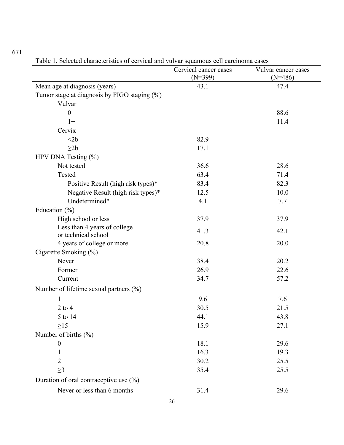|                                                   | Cervical cancer cases<br>$(N=399)$ | Vulvar cancer cases<br>$(N=486)$ |
|---------------------------------------------------|------------------------------------|----------------------------------|
| Mean age at diagnosis (years)                     | 43.1                               | 47.4                             |
| Tumor stage at diagnosis by FIGO staging $(\%)$   |                                    |                                  |
| Vulvar                                            |                                    |                                  |
| $\boldsymbol{0}$                                  |                                    | 88.6                             |
| $1+$                                              |                                    | 11.4                             |
| Cervix                                            |                                    |                                  |
| $<$ 2 $b$                                         | 82.9                               |                                  |
| $\geq$ 2b                                         | 17.1                               |                                  |
| HPV DNA Testing $(\% )$                           |                                    |                                  |
| Not tested                                        | 36.6                               | 28.6                             |
| Tested                                            | 63.4                               | 71.4                             |
| Positive Result (high risk types)*                | 83.4                               | 82.3                             |
| Negative Result (high risk types)*                | 12.5                               | 10.0                             |
| Undetermined*                                     | 4.1                                | 7.7                              |
| Education $(\% )$                                 |                                    |                                  |
| High school or less                               | 37.9                               | 37.9                             |
| Less than 4 years of college                      | 41.3                               | 42.1                             |
| or technical school<br>4 years of college or more | 20.8                               | 20.0                             |
| Cigarette Smoking (%)                             |                                    |                                  |
| Never                                             | 38.4                               | 20.2                             |
| Former                                            | 26.9                               | 22.6                             |
| Current                                           | 34.7                               | 57.2                             |
| Number of lifetime sexual partners $(\%)$         |                                    |                                  |
|                                                   |                                    |                                  |
| 1                                                 | 9.6                                | 7.6                              |
| $2$ to $4$                                        | 30.5                               | 21.5                             |
| 5 to 14                                           | 44.1                               | 43.8                             |
| $\geq$ 15                                         | 15.9                               | 27.1                             |
| Number of births $(\% )$                          |                                    |                                  |
| $\boldsymbol{0}$                                  | 18.1                               | 29.6<br>19.3                     |
| $\mathbf{1}$<br>$\overline{2}$                    | 16.3                               |                                  |
|                                                   | 30.2                               | 25.5                             |
| $\geq$ 3                                          | 35.4                               | 25.5                             |
| Duration of oral contraceptive use $(\% )$        |                                    |                                  |
| Never or less than 6 months                       | 31.4                               | 29.6                             |

Table 1. Selected characteristics of cervical and vulvar squamous cell carcinoma cases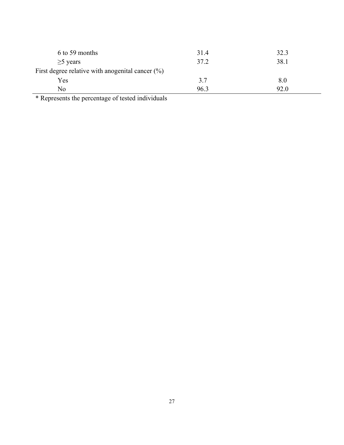| 6 to 59 months                                      | 31.4 | 32.3 |  |  |  |
|-----------------------------------------------------|------|------|--|--|--|
| $\geq$ 5 years                                      | 37.2 | 38.1 |  |  |  |
| First degree relative with anogenital cancer $(\%)$ |      |      |  |  |  |
| Yes                                                 | 3.7  | 8.0  |  |  |  |
| No                                                  | 96.3 | 92.0 |  |  |  |

\* Represents the percentage of tested individuals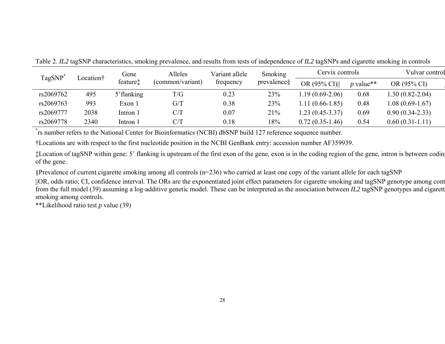| TagSNP <sup>*</sup> | Location† | Gene                 | Alleles          |           | <b>Smoking</b><br>Variant allele |                   | Cervix controls |                   |
|---------------------|-----------|----------------------|------------------|-----------|----------------------------------|-------------------|-----------------|-------------------|
|                     |           | feature <sup>†</sup> | (common/variant) | trequency | prevalences                      | OR (95% CI)       | $p$ value**     | OR (95% CI)       |
| rs2069762           | 495       | 5' flanking          | T/G              | 0.23      | 23%                              | 1.19 (0.69-2.06)  | 0.68            | 1.30 (0.82-2.04)  |
| rs2069763           | 993       | Exon 1               | G/T              | 0.38      | 23%                              | 1.11 (0.66-1.85)  | 0.48            | $1.08(0.69-1.67)$ |
| rs2069777           | 2038      | Intron 1             | C/T              | 0.07      | 21%                              | 1.23 (0.45-3.37)  | 0.69            | $0.90(0.34-2.33)$ |
| rs2069778           | 2340      | Intron 1             | C/T              | 0.18      | 18%                              | $0.72(0.35-1.46)$ | 0.54            | $0.60(0.31-1.11)$ |

Table 2. *IL2* tagSNP characteristics, smoking prevalence, and results from tests of independence of *IL2* tagSNPs and cigarette smoking in controls

\*rs number refers to the National Center for Bioinformatics (NCBI) dbSNP build 127 reference sequence number.

†Locations are with respect to the first nucleotide position in the NCBI GenBank entry: accession number AF359939.

‡Location of tagSNP within gene: 5' flanking is upstream of the first exon of the gene, exon is in the coding region of the gene, intron is between coding of the gene.

§Prevalence of current cigarette smoking among all controls (n=236) who carried at least one copy of the variant allele for each tagSNP

||OR, odds ratio; CI, confidence interval. The ORs are the exponentiated joint effect parameters for cigarette smoking and tagSNP genotype among cont from the full model (39) assuming a log-additive genetic model. These can be interpreted as the association between *IL2* tagSNP genotypes and cigarett smoking among controls.

\*\*Likelihood ratio test *p* value (39)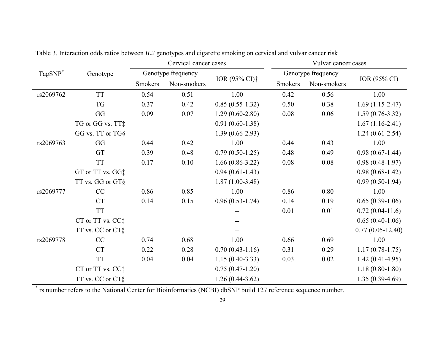|                     |                              | Cervical cancer cases |             | Vulvar cancer cases       |         |                    |                    |
|---------------------|------------------------------|-----------------------|-------------|---------------------------|---------|--------------------|--------------------|
| TagSNP <sup>*</sup> | Genotype                     | Genotype frequency    |             |                           |         | Genotype frequency |                    |
|                     |                              | Smokers               | Non-smokers | IOR (95% CI) <sup>†</sup> | Smokers | Non-smokers        | IOR (95% CI)       |
| rs2069762           | <b>TT</b>                    | 0.54                  | 0.51        | 1.00                      | 0.42    | 0.56               | 1.00               |
|                     | <b>TG</b>                    | 0.37                  | 0.42        | $0.85(0.55-1.32)$         | 0.50    | 0.38               | $1.69(1.15-2.47)$  |
|                     | GG                           | 0.09                  | 0.07        | $1.29(0.60-2.80)$         | 0.08    | 0.06               | $1.59(0.76-3.32)$  |
|                     | TG or GG vs. TT‡             |                       |             | $0.91(0.60-1.38)$         |         |                    | $1.67(1.16-2.41)$  |
|                     | GG vs. TT or TG§             |                       |             | $1.39(0.66-2.93)$         |         |                    | $1.24(0.61-2.54)$  |
| rs2069763           | GG                           | 0.44                  | 0.42        | 1.00                      | 0.44    | 0.43               | 1.00               |
|                     | GT                           | 0.39                  | 0.48        | $0.79(0.50-1.25)$         | 0.48    | 0.49               | $0.98(0.67-1.44)$  |
|                     | <b>TT</b>                    | 0.17                  | 0.10        | $1.66(0.86 - 3.22)$       | 0.08    | 0.08               | $0.98(0.48-1.97)$  |
|                     | GT or TT vs. GG#             |                       |             | $0.94(0.61-1.43)$         |         |                    | $0.98(0.68-1.42)$  |
|                     | TT vs. GG or GT§             |                       |             | $1.87(1.00-3.48)$         |         |                    | $0.99(0.50-1.94)$  |
| rs2069777           | CC                           | 0.86                  | 0.85        | 1.00                      | 0.86    | 0.80               | 1.00               |
|                     | <b>CT</b>                    | 0.14                  | 0.15        | $0.96(0.53-1.74)$         | 0.14    | 0.19               | $0.65(0.39-1.06)$  |
|                     | <b>TT</b>                    |                       |             |                           | 0.01    | 0.01               | $0.72(0.04-11.6)$  |
|                     | CT or TT vs. CC <sup>+</sup> |                       |             |                           |         |                    | $0.65(0.40-1.06)$  |
|                     | TT vs. CC or CT§             |                       |             |                           |         |                    | $0.77(0.05-12.40)$ |
| rs2069778           | CC                           | 0.74                  | 0.68        | 1.00                      | 0.66    | 0.69               | 1.00               |
|                     | <b>CT</b>                    | 0.22                  | 0.28        | $0.70(0.43-1.16)$         | 0.31    | 0.29               | $1.17(0.78-1.75)$  |
|                     | <b>TT</b>                    | 0.04                  | 0.04        | $1.15(0.40-3.33)$         | 0.03    | 0.02               | $1.42(0.41-4.95)$  |
|                     | CT or TT vs. CC:             |                       |             | $0.75(0.47-1.20)$         |         |                    | $1.18(0.80-1.80)$  |
|                     | TT vs. CC or CT§             |                       |             | $1.26(0.44-3.62)$         |         |                    | $1.35(0.39-4.69)$  |

Table 3. Interaction odds ratios between *IL2* genotypes and cigarette smoking on cervical and vulvar cancer risk

\* rs number refers to the National Center for Bioinformatics (NCBI) dbSNP build 127 reference sequence number.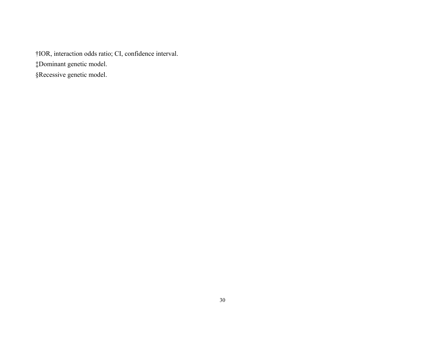†IOR, interaction odds ratio; CI, confidence interval. ‡Dominant genetic model.

§Recessive genetic model.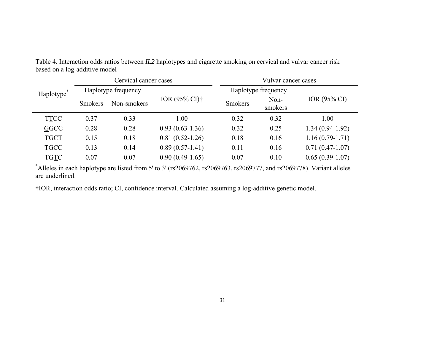| Table 4. Interaction odds ratios between IL2 haplotypes and cigarette smoking on cervical and vulvar cancer risk |  |
|------------------------------------------------------------------------------------------------------------------|--|
| based on a log-additive model                                                                                    |  |

|             | Cervical cancer cases |             |                                 | Vulvar cancer cases |                     |                   |  |
|-------------|-----------------------|-------------|---------------------------------|---------------------|---------------------|-------------------|--|
| Haplotype*  | Haplotype frequency   |             |                                 |                     | Haplotype frequency |                   |  |
|             | <b>Smokers</b>        | Non-smokers | IOR $(95\% \text{ CI})\uparrow$ | <b>Smokers</b>      | Non-<br>smokers     | IOR (95% CI)      |  |
| <b>TTCC</b> | 0.37                  | 0.33        | 1.00                            | 0.32                | 0.32                | 1.00              |  |
| GGCC        | 0.28                  | 0.28        | $0.93(0.63-1.36)$               | 0.32                | 0.25                | $1.34(0.94-1.92)$ |  |
| <b>TGCT</b> | 0.15                  | 0.18        | $0.81(0.52-1.26)$               | 0.18                | 0.16                | $1.16(0.79-1.71)$ |  |
| <b>TGCC</b> | 0.13                  | 0.14        | $0.89(0.57-1.41)$               | 0.11                | 0.16                | $0.71(0.47-1.07)$ |  |
| <b>TGTC</b> | 0.07                  | 0.07        | $0.90(0.49-1.65)$               | 0.07                | 0.10                | $0.65(0.39-1.07)$ |  |

\*Alleles in each haplotype are listed from 5' to 3' (rs2069762, rs2069763, rs2069777, and rs2069778). Variant alleles are underlined.

†IOR, interaction odds ratio; CI, confidence interval. Calculated assuming a log-additive genetic model.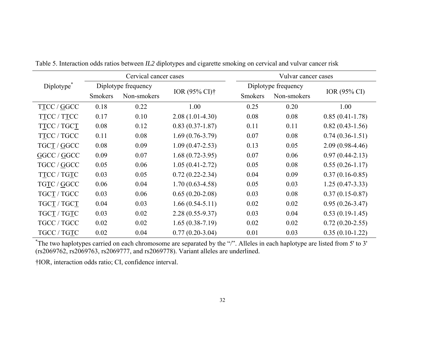|                        |                     | Cervical cancer cases |                                | Vulvar cancer cases |                     |                     |
|------------------------|---------------------|-----------------------|--------------------------------|---------------------|---------------------|---------------------|
| Diplotype <sup>®</sup> | Diplotype frequency |                       |                                |                     | Diplotype frequency |                     |
|                        | <b>Smokers</b>      | Non-smokers           | IOR $(95\% \text{ CI})\dagger$ | <b>Smokers</b>      | Non-smokers         | IOR (95% CI)        |
| TTCC / GGCC            | 0.18                | 0.22                  | 1.00                           | 0.25                | 0.20                | 1.00                |
| TTCC / TTCC            | 0.17                | 0.10                  | $2.08(1.01-4.30)$              | 0.08                | 0.08                | $0.85(0.41-1.78)$   |
| TTCC / TGCT            | 0.08                | 0.12                  | $0.83(0.37-1.87)$              | 0.11                | 0.11                | $0.82(0.43-1.56)$   |
| TTCC / TGCC            | 0.11                | 0.08                  | $1.69(0.76-3.79)$              | 0.07                | 0.08                | $0.74(0.36-1.51)$   |
| TGCT / GGCC            | 0.08                | 0.09                  | $1.09(0.47 - 2.53)$            | 0.13                | 0.05                | $2.09(0.98-4.46)$   |
| GGCC / GGCC            | 0.09                | 0.07                  | $1.68(0.72 - 3.95)$            | 0.07                | 0.06                | $0.97(0.44 - 2.13)$ |
| TGCC / GGCC            | 0.05                | 0.06                  | $1.05(0.41 - 2.72)$            | 0.05                | 0.08                | $0.55(0.26 - 1.17)$ |
| TTCC / TGTC            | 0.03                | 0.05                  | $0.72(0.22 - 2.34)$            | 0.04                | 0.09                | $0.37(0.16-0.85)$   |
| TGTC / GGCC            | 0.06                | 0.04                  | $1.70(0.63-4.58)$              | 0.05                | 0.03                | $1.25(0.47-3.33)$   |
| TGCT / TGCC            | 0.03                | 0.06                  | $0.65(0.20-2.08)$              | 0.03                | 0.08                | $0.37(0.15-0.87)$   |
| TGCT / TGCT            | 0.04                | 0.03                  | $1.66(0.54-5.11)$              | 0.02                | 0.02                | $0.95(0.26 - 3.47)$ |
| TGC <u>T</u> / TGTC    | 0.03                | 0.02                  | $2.28(0.55-9.37)$              | 0.03                | 0.04                | $0.53(0.19-1.45)$   |
| TGCC / TGCC            | 0.02                | 0.02                  | $1.65(0.38-7.19)$              | 0.02                | 0.02                | $0.72(0.20-2.55)$   |
| TGCC / TGTC            | 0.02                | 0.04                  | $0.77(0.20-3.04)$              | 0.01                | 0.03                | $0.35(0.10-1.22)$   |

Table 5. Interaction odds ratios between *IL2* diplotypes and cigarette smoking on cervical and vulvar cancer risk

\*The two haplotypes carried on each chromosome are separated by the "/". Alleles in each haplotype are listed from 5' to 3' (rs2069762, rs2069763, rs2069777, and rs2069778). Variant alleles are underlined.

†IOR, interaction odds ratio; CI, confidence interval.

 $\overline{\phantom{a}}$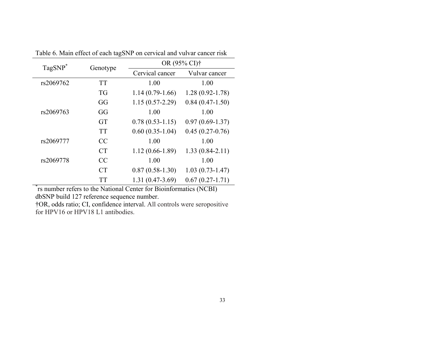| TagSNP <sup>*</sup> | Genotype  | OR (95% CI) <sup>†</sup> |                     |  |
|---------------------|-----------|--------------------------|---------------------|--|
|                     |           | Cervical cancer          | Vulvar cancer       |  |
| rs2069762           | <b>TT</b> | 1.00                     | 1.00                |  |
|                     | <b>TG</b> | $1.14(0.79-1.66)$        | $1.28(0.92 - 1.78)$ |  |
|                     | GG        | $1.15(0.57 - 2.29)$      | $0.84(0.47-1.50)$   |  |
| rs2069763           | GG        | 1.00                     | 1.00                |  |
|                     | <b>GT</b> | $0.78(0.53-1.15)$        | $0.97(0.69 - 1.37)$ |  |
|                     | <b>TT</b> | $0.60(0.35-1.04)$        | $0.45(0.27-0.76)$   |  |
| rs2069777           | CC        | 1.00                     | 1.00                |  |
|                     | <b>CT</b> | $1.12(0.66 - 1.89)$      | $1.33(0.84-2.11)$   |  |
| rs2069778           | CC        | 1.00                     | 1.00                |  |
|                     | <b>CT</b> | $0.87(0.58-1.30)$        | $1.03(0.73 - 1.47)$ |  |
|                     | <b>TT</b> | $1.31(0.47-3.69)$        | $0.67(0.27-1.71)$   |  |

Table 6. Main effect of each tagSNP on cervical and vulvar cancer risk

\*rs number refers to the National Center for Bioinformatics (NCBI) dbSNP build 127 reference sequence number.

†OR, odds ratio; CI, confidence interval. All controls were seropositive for HPV16 or HPV18 L1 antibodies.